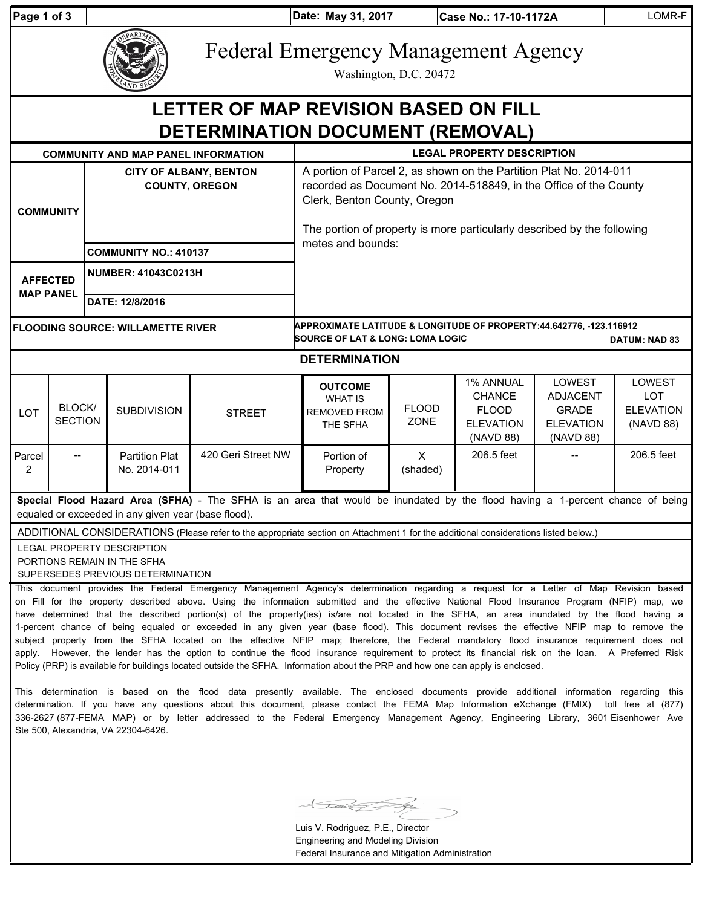| Page 1 of 3                                                                                                                                                                                                                                                                                                                                                                                                                                                                                                                                                                                                                                                                                                                                                                                                                                                                                                                                                                                                      |                          |                                                        |                                       |                    | Date: May 31, 2017<br>Case No.: 17-10-1172A                                                                                                                                                                                                        |                      |                                                                             | LOMR-F                                                                     |                                                       |
|------------------------------------------------------------------------------------------------------------------------------------------------------------------------------------------------------------------------------------------------------------------------------------------------------------------------------------------------------------------------------------------------------------------------------------------------------------------------------------------------------------------------------------------------------------------------------------------------------------------------------------------------------------------------------------------------------------------------------------------------------------------------------------------------------------------------------------------------------------------------------------------------------------------------------------------------------------------------------------------------------------------|--------------------------|--------------------------------------------------------|---------------------------------------|--------------------|----------------------------------------------------------------------------------------------------------------------------------------------------------------------------------------------------------------------------------------------------|----------------------|-----------------------------------------------------------------------------|----------------------------------------------------------------------------|-------------------------------------------------------|
|                                                                                                                                                                                                                                                                                                                                                                                                                                                                                                                                                                                                                                                                                                                                                                                                                                                                                                                                                                                                                  |                          |                                                        |                                       |                    | <b>Federal Emergency Management Agency</b><br>Washington, D.C. 20472                                                                                                                                                                               |                      |                                                                             |                                                                            |                                                       |
| LETTER OF MAP REVISION BASED ON FILL<br>DETERMINATION DOCUMENT (REMOVAL)                                                                                                                                                                                                                                                                                                                                                                                                                                                                                                                                                                                                                                                                                                                                                                                                                                                                                                                                         |                          |                                                        |                                       |                    |                                                                                                                                                                                                                                                    |                      |                                                                             |                                                                            |                                                       |
| <b>COMMUNITY AND MAP PANEL INFORMATION</b>                                                                                                                                                                                                                                                                                                                                                                                                                                                                                                                                                                                                                                                                                                                                                                                                                                                                                                                                                                       |                          |                                                        |                                       |                    | <b>LEGAL PROPERTY DESCRIPTION</b>                                                                                                                                                                                                                  |                      |                                                                             |                                                                            |                                                       |
| <b>COMMUNITY</b>                                                                                                                                                                                                                                                                                                                                                                                                                                                                                                                                                                                                                                                                                                                                                                                                                                                                                                                                                                                                 |                          | <b>CITY OF ALBANY, BENTON</b><br><b>COUNTY, OREGON</b> |                                       |                    | A portion of Parcel 2, as shown on the Partition Plat No. 2014-011<br>recorded as Document No. 2014-518849, in the Office of the County<br>Clerk, Benton County, Oregon<br>The portion of property is more particularly described by the following |                      |                                                                             |                                                                            |                                                       |
|                                                                                                                                                                                                                                                                                                                                                                                                                                                                                                                                                                                                                                                                                                                                                                                                                                                                                                                                                                                                                  |                          |                                                        | <b>COMMUNITY NO.: 410137</b>          |                    | metes and bounds:                                                                                                                                                                                                                                  |                      |                                                                             |                                                                            |                                                       |
| <b>AFFECTED</b><br><b>MAP PANEL</b>                                                                                                                                                                                                                                                                                                                                                                                                                                                                                                                                                                                                                                                                                                                                                                                                                                                                                                                                                                              |                          |                                                        | <b>NUMBER: 41043C0213H</b>            |                    |                                                                                                                                                                                                                                                    |                      |                                                                             |                                                                            |                                                       |
|                                                                                                                                                                                                                                                                                                                                                                                                                                                                                                                                                                                                                                                                                                                                                                                                                                                                                                                                                                                                                  |                          |                                                        | DATE: 12/8/2016                       |                    |                                                                                                                                                                                                                                                    |                      |                                                                             |                                                                            |                                                       |
| <b>FLOODING SOURCE: WILLAMETTE RIVER</b>                                                                                                                                                                                                                                                                                                                                                                                                                                                                                                                                                                                                                                                                                                                                                                                                                                                                                                                                                                         |                          |                                                        |                                       |                    | APPROXIMATE LATITUDE & LONGITUDE OF PROPERTY:44.642776, -123.116912<br><b>SOURCE OF LAT &amp; LONG: LOMA LOGIC</b><br><b>DATUM: NAD 83</b>                                                                                                         |                      |                                                                             |                                                                            |                                                       |
| <b>DETERMINATION</b>                                                                                                                                                                                                                                                                                                                                                                                                                                                                                                                                                                                                                                                                                                                                                                                                                                                                                                                                                                                             |                          |                                                        |                                       |                    |                                                                                                                                                                                                                                                    |                      |                                                                             |                                                                            |                                                       |
| LOT                                                                                                                                                                                                                                                                                                                                                                                                                                                                                                                                                                                                                                                                                                                                                                                                                                                                                                                                                                                                              | BLOCK/<br><b>SECTION</b> |                                                        | <b>SUBDIVISION</b>                    | <b>STREET</b>      | <b>OUTCOME</b><br><b>WHAT IS</b><br><b>REMOVED FROM</b><br>THE SFHA                                                                                                                                                                                | <b>FLOOD</b><br>ZONE | 1% ANNUAL<br><b>CHANCE</b><br><b>FLOOD</b><br><b>ELEVATION</b><br>(NAVD 88) | LOWEST<br><b>ADJACENT</b><br><b>GRADE</b><br><b>ELEVATION</b><br>(NAVD 88) | LOWEST<br><b>LOT</b><br><b>ELEVATION</b><br>(NAVD 88) |
| Parcel<br>2                                                                                                                                                                                                                                                                                                                                                                                                                                                                                                                                                                                                                                                                                                                                                                                                                                                                                                                                                                                                      | $\hspace{0.05cm}$        |                                                        | <b>Partition Plat</b><br>No. 2014-011 | 420 Geri Street NW | Portion of<br>Property                                                                                                                                                                                                                             | X<br>(shaded)        | 206.5 feet                                                                  |                                                                            | 206.5 feet                                            |
| Special Flood Hazard Area (SFHA) - The SFHA is an area that would be inundated by the flood having a 1-percent chance of being<br>equaled or exceeded in any given year (base flood).                                                                                                                                                                                                                                                                                                                                                                                                                                                                                                                                                                                                                                                                                                                                                                                                                            |                          |                                                        |                                       |                    |                                                                                                                                                                                                                                                    |                      |                                                                             |                                                                            |                                                       |
| ADDITIONAL CONSIDERATIONS (Please refer to the appropriate section on Attachment 1 for the additional considerations listed below.)                                                                                                                                                                                                                                                                                                                                                                                                                                                                                                                                                                                                                                                                                                                                                                                                                                                                              |                          |                                                        |                                       |                    |                                                                                                                                                                                                                                                    |                      |                                                                             |                                                                            |                                                       |
| LEGAL PROPERTY DESCRIPTION<br>PORTIONS REMAIN IN THE SFHA<br>SUPERSEDES PREVIOUS DETERMINATION                                                                                                                                                                                                                                                                                                                                                                                                                                                                                                                                                                                                                                                                                                                                                                                                                                                                                                                   |                          |                                                        |                                       |                    |                                                                                                                                                                                                                                                    |                      |                                                                             |                                                                            |                                                       |
| This document provides the Federal Emergency Management Agency's determination regarding a request for a Letter of Map Revision based<br>on Fill for the property described above. Using the information submitted and the effective National Flood Insurance Program (NFIP) map, we<br>have determined that the described portion(s) of the property(ies) is/are not located in the SFHA, an area inundated by the flood having a<br>1-percent chance of being equaled or exceeded in any given year (base flood). This document revises the effective NFIP map to remove the<br>subject property from the SFHA located on the effective NFIP map; therefore, the Federal mandatory flood insurance requirement does not<br>apply. However, the lender has the option to continue the flood insurance requirement to protect its financial risk on the loan. A Preferred Risk<br>Policy (PRP) is available for buildings located outside the SFHA. Information about the PRP and how one can apply is enclosed. |                          |                                                        |                                       |                    |                                                                                                                                                                                                                                                    |                      |                                                                             |                                                                            |                                                       |

This determination is based on the flood data presently available. The enclosed documents provide additional information regarding this determination. If you have any questions about this document, please contact the FEMA Map Information eXchange (FMIX) toll free at (877) 336-2627 (877-FEMA MAP) or by letter addressed to the Federal Emergency Management Agency, Engineering Library, 3601 Eisenhower Ave Ste 500, Alexandria, VA 22304-6426.

ラ ≤

Luis V. Rodriguez, P.E., Director Engineering and Modeling Division Federal Insurance and Mitigation Administration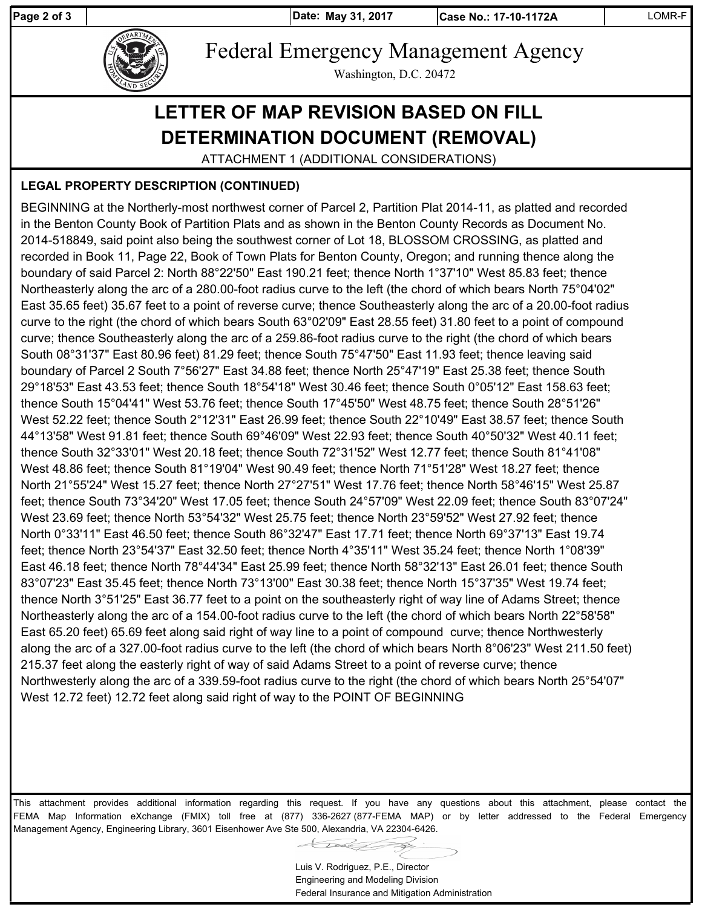Page 2 of 3 **May 31, 2017** 

**Date: Case No.: 17-10-1172A** LOMR-F



Federal Emergency Management Agency

Washington, D.C. 20472

## **LETTER OF MAP REVISION BASED ON FILL DETERMINATION DOCUMENT (REMOVAL)**

ATTACHMENT 1 (ADDITIONAL CONSIDERATIONS)

## **LEGAL PROPERTY DESCRIPTION (CONTINUED)**

BEGINNING at the Northerly-most northwest corner of Parcel 2, Partition Plat 2014-11, as platted and recorded in the Benton County Book of Partition Plats and as shown in the Benton County Records as Document No. 2014-518849, said point also being the southwest corner of Lot 18, BLOSSOM CROSSING, as platted and recorded in Book 11, Page 22, Book of Town Plats for Benton County, Oregon; and running thence along the boundary of said Parcel 2: North 88°22'50" East 190.21 feet; thence North 1°37'10" West 85.83 feet; thence Northeasterly along the arc of a 280.00-foot radius curve to the left (the chord of which bears North 75°04'02" East 35.65 feet) 35.67 feet to a point of reverse curve; thence Southeasterly along the arc of a 20.00-foot radius curve to the right (the chord of which bears South 63°02'09" East 28.55 feet) 31.80 feet to a point of compound curve; thence Southeasterly along the arc of a 259.86-foot radius curve to the right (the chord of which bears South 08°31'37" East 80.96 feet) 81.29 feet; thence South 75°47'50" East 11.93 feet; thence leaving said boundary of Parcel 2 South 7°56'27" East 34.88 feet; thence North 25°47'19" East 25.38 feet; thence South 29°18'53" East 43.53 feet; thence South 18°54'18" West 30.46 feet; thence South 0°05'12" East 158.63 feet; thence South 15°04'41" West 53.76 feet; thence South 17°45'50" West 48.75 feet; thence South 28°51'26" West 52.22 feet; thence South 2°12'31" East 26.99 feet; thence South 22°10'49" East 38.57 feet; thence South 44°13'58" West 91.81 feet; thence South 69°46'09" West 22.93 feet; thence South 40°50'32" West 40.11 feet; thence South 32°33'01" West 20.18 feet; thence South 72°31'52" West 12.77 feet; thence South 81°41'08" West 48.86 feet; thence South 81°19'04" West 90.49 feet; thence North 71°51'28" West 18.27 feet; thence North 21°55'24" West 15.27 feet; thence North 27°27'51" West 17.76 feet; thence North 58°46'15" West 25.87 feet; thence South 73°34'20" West 17.05 feet; thence South 24°57'09" West 22.09 feet; thence South 83°07'24" West 23.69 feet; thence North 53°54'32" West 25.75 feet; thence North 23°59'52" West 27.92 feet; thence North 0°33'11" East 46.50 feet; thence South 86°32'47" East 17.71 feet; thence North 69°37'13" East 19.74 feet; thence North 23°54'37" East 32.50 feet; thence North 4°35'11" West 35.24 feet; thence North 1°08'39" East 46.18 feet; thence North 78°44'34" East 25.99 feet; thence North 58°32'13" East 26.01 feet; thence South 83°07'23" East 35.45 feet; thence North 73°13'00" East 30.38 feet; thence North 15°37'35" West 19.74 feet; thence North 3°51'25" East 36.77 feet to a point on the southeasterly right of way line of Adams Street; thence Northeasterly along the arc of a 154.00-foot radius curve to the left (the chord of which bears North 22°58'58" East 65.20 feet) 65.69 feet along said right of way line to a point of compound curve; thence Northwesterly along the arc of a 327.00-foot radius curve to the left (the chord of which bears North 8°06'23" West 211.50 feet) 215.37 feet along the easterly right of way of said Adams Street to a point of reverse curve; thence Northwesterly along the arc of a 339.59-foot radius curve to the right (the chord of which bears North 25°54'07" West 12.72 feet) 12.72 feet along said right of way to the POINT OF BEGINNING

This attachment provides additional information regarding this request. If you have any questions about this attachment, please contact the FEMA Map Information eXchange (FMIX) toll free at (877) 336-2627 (877-FEMA MAP) or by letter addressed to the Federal Emergency Management Agency, Engineering Library, 3601 Eisenhower Ave Ste 500, Alexandria, VA 22304-6426.

Luis V. Rodriguez, P.E., Director Engineering and Modeling Division Federal Insurance and Mitigation Administration